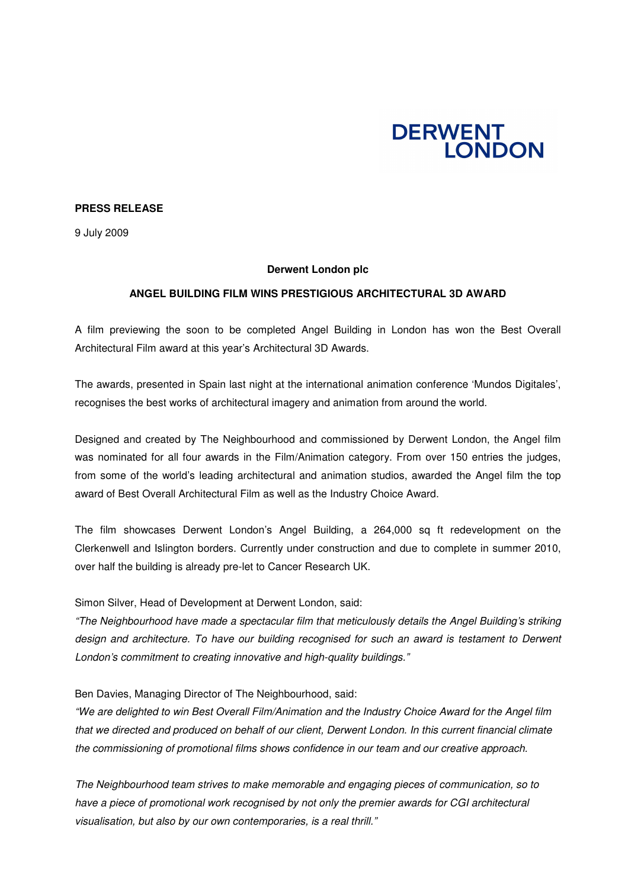

## **PRESS RELEASE**

9 July 2009

### **Derwent London plc**

# **ANGEL BUILDING FILM WINS PRESTIGIOUS ARCHITECTURAL 3D AWARD**

A film previewing the soon to be completed Angel Building in London has won the Best Overall Architectural Film award at this year's Architectural 3D Awards.

The awards, presented in Spain last night at the international animation conference 'Mundos Digitales', recognises the best works of architectural imagery and animation from around the world.

Designed and created by The Neighbourhood and commissioned by Derwent London, the Angel film was nominated for all four awards in the Film/Animation category. From over 150 entries the judges, from some of the world's leading architectural and animation studios, awarded the Angel film the top award of Best Overall Architectural Film as well as the Industry Choice Award.

The film showcases Derwent London's Angel Building, a 264,000 sq ft redevelopment on the Clerkenwell and Islington borders. Currently under construction and due to complete in summer 2010, over half the building is already pre-let to Cancer Research UK.

Simon Silver, Head of Development at Derwent London, said:

*"The Neighbourhood have made a spectacular film that meticulously details the Angel Building's striking design and architecture. To have our building recognised for such an award is testament to Derwent London's commitment to creating innovative and high-quality buildings."*

Ben Davies, Managing Director of The Neighbourhood, said:

*"We are delighted to win Best Overall Film/Animation and the Industry Choice Award for the Angel film that we directed and produced on behalf of our client, Derwent London. In this current financial climate the commissioning of promotional films shows confidence in our team and our creative approach.*

*The Neighbourhood team strives to make memorable and engaging pieces of communication, so to have a piece of promotional work recognised by not only the premier awards for CGI architectural visualisation, but also by our own contemporaries, is a real thrill."*